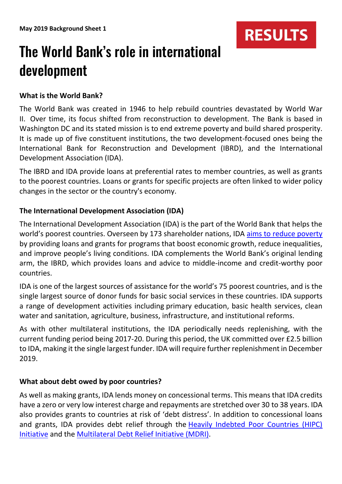# The World Bank's role in international development

## **What is the World Bank?**

The World Bank was created in [1946](https://en.wikipedia.org/wiki/1946) to help rebuild countries devastated by World War II. Over time, its focus shifted from reconstruction to development. The Bank is based in [Washington DC](https://en.wikipedia.org/wiki/Washington,_D.C.) and its stated mission is to end extreme poverty and build shared prosperity. It is made up of five constituent institutions, the two development-focused ones being the [International Bank for Reconstruction and Development](https://en.wikipedia.org/wiki/International_Bank_for_Reconstruction_and_Development) (IBRD), and the [International](https://en.wikipedia.org/wiki/International_Development_Association)  [Development Association](https://en.wikipedia.org/wiki/International_Development_Association) (IDA).

**RESULTS** 

The IBRD and IDA provide loans at preferential rates to member countries, as well as grants to the poorest countries. Loans or grants for specific projects are often linked to wider policy changes in the sector or the country's economy.

## **The International Development Association (IDA)**

The International Development Association (IDA) is the part of the World Bank that helps the world's poorest countries. Overseen by 173 shareholder nations, IDA [aims to reduce poverty](http://ida.worldbank.org/what-is-IDA/what-we-do/how-ida-reduces-poverty) by providing loans and grants for programs that boost economic growth, reduce inequalities, and improve people's living conditions. IDA complements the World Bank's original lending arm, the IBRD, which provides loans and advice to middle-income and credit-worthy poor countries.

IDA is one of the largest sources of assistance for the world's 75 poorest countries, and is the single largest source of donor funds for basic social services in these countries. IDA supports a range of development activities including primary education, basic health services, clean water and sanitation, agriculture, business, infrastructure, and institutional reforms.

As with other multilateral institutions, the IDA periodically needs replenishing, with the current funding period being 2017-20. During this period, the UK committed over £2.5 billion to IDA, making it the single largest funder. IDA will require further replenishment in December 2019.

#### **What about debt owed by poor countries?**

As well as making grants, IDA lends money on concessional terms. This means that IDA credits have a zero or very low interest charge and repayments are stretched over 30 to 38 years. IDA also provides grants to countries at risk of 'debt distress'. In addition to concessional loans and grants, IDA provides debt relief through the **Heavily Indebted Poor Countries (HIPC)** [Initiative](https://www.imf.org/en/About/Factsheets/Sheets/2016/08/01/16/11/Debt-Relief-Under-the-Heavily-Indebted-Poor-Countries-Initiative) and the [Multilateral Debt Relief Initiative \(MDRI\).](https://www.imf.org/external/np/exr/facts/jdsf.htm)